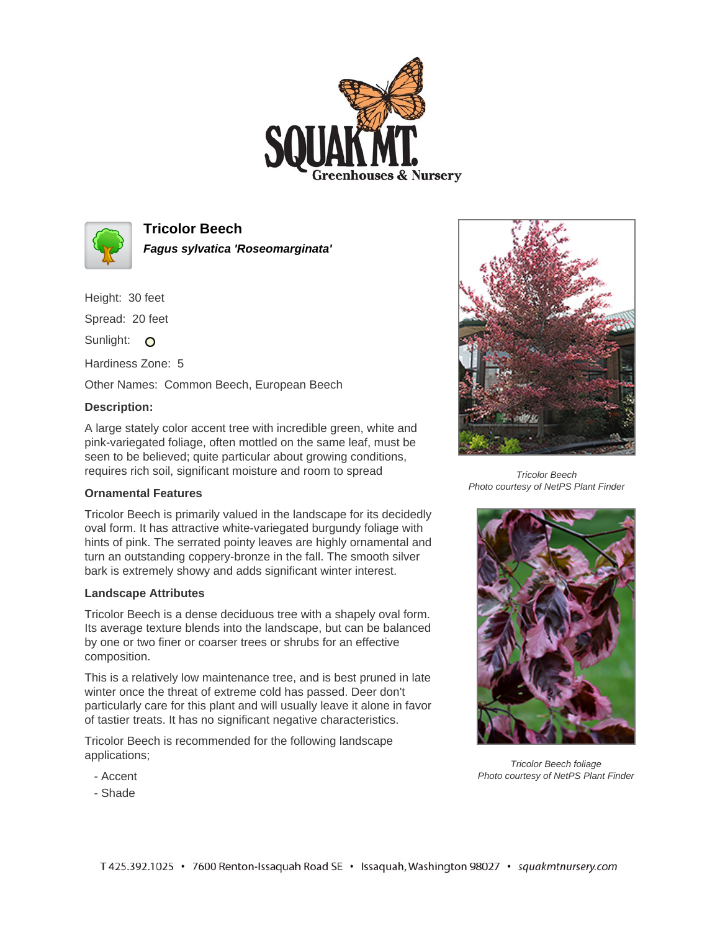



**Tricolor Beech**

**Fagus sylvatica 'Roseomarginata'**

Height: 30 feet Spread: 20 feet Sunlight: O

Hardiness Zone: 5

Other Names: Common Beech, European Beech

## **Description:**

A large stately color accent tree with incredible green, white and pink-variegated foliage, often mottled on the same leaf, must be seen to be believed; quite particular about growing conditions, requires rich soil, significant moisture and room to spread

## **Ornamental Features**

Tricolor Beech is primarily valued in the landscape for its decidedly oval form. It has attractive white-variegated burgundy foliage with hints of pink. The serrated pointy leaves are highly ornamental and turn an outstanding coppery-bronze in the fall. The smooth silver bark is extremely showy and adds significant winter interest.

## **Landscape Attributes**

Tricolor Beech is a dense deciduous tree with a shapely oval form. Its average texture blends into the landscape, but can be balanced by one or two finer or coarser trees or shrubs for an effective composition.

This is a relatively low maintenance tree, and is best pruned in late winter once the threat of extreme cold has passed. Deer don't particularly care for this plant and will usually leave it alone in favor of tastier treats. It has no significant negative characteristics.

Tricolor Beech is recommended for the following landscape applications;

- Accent
- Shade



Tricolor Beech Photo courtesy of NetPS Plant Finder



Tricolor Beech foliage Photo courtesy of NetPS Plant Finder